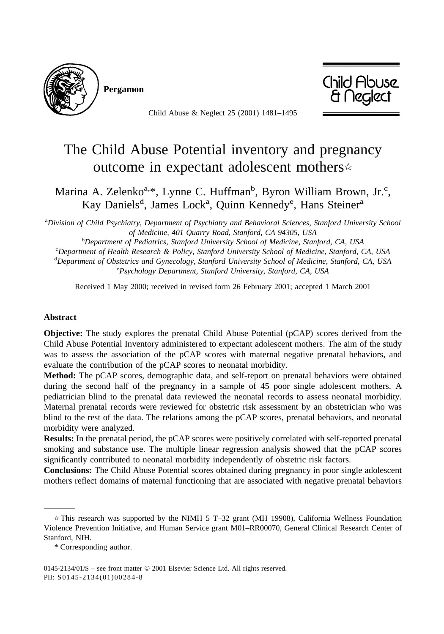

**Pergamon**



Child Abuse & Neglect 25 (2001) 1481–1495

## The Child Abuse Potential inventory and pregnancy outcome in expectant adolescent mothers

Marina A. Zelenko<sup>a,\*</sup>, Lynne C. Huffman<sup>b</sup>, Byron William Brown, Jr.<sup>c</sup>, Kay Daniels<sup>d</sup>, James Lock<sup>a</sup>, Quinn Kennedy<sup>e</sup>, Hans Steiner<sup>a</sup>

a *Division of Child Psychiatry, Department of Psychiatry and Behavioral Sciences, Stanford University School of Medicine, 401 Quarry Road, Stanford, CA 94305, USA* <sup>b</sup>

<sup>b</sup>Department of Pediatrics, Stanford University School of Medicine, Stanford, CA, USA *Department of Health Research & Policy, Stanford University School of Medicine, Stanford, CA, USA* <sup>d</sup>Department of Obstetrics and Gynecology, Stanford University School of Medicine, Stanford, CA, USA<br>
<sup>e</sup> Peychology Department, Stanford University, Stanford, CA, USA *Psychology Department, Stanford University, Stanford, CA, USA*

Received 1 May 2000; received in revised form 26 February 2001; accepted 1 March 2001

## **Abstract**

**Objective:** The study explores the prenatal Child Abuse Potential (pCAP) scores derived from the Child Abuse Potential Inventory administered to expectant adolescent mothers. The aim of the study was to assess the association of the pCAP scores with maternal negative prenatal behaviors, and evaluate the contribution of the pCAP scores to neonatal morbidity.

**Method:** The pCAP scores, demographic data, and self-report on prenatal behaviors were obtained during the second half of the pregnancy in a sample of 45 poor single adolescent mothers. A pediatrician blind to the prenatal data reviewed the neonatal records to assess neonatal morbidity. Maternal prenatal records were reviewed for obstetric risk assessment by an obstetrician who was blind to the rest of the data. The relations among the pCAP scores, prenatal behaviors, and neonatal morbidity were analyzed.

**Results:** In the prenatal period, the pCAP scores were positively correlated with self-reported prenatal smoking and substance use. The multiple linear regression analysis showed that the pCAP scores significantly contributed to neonatal morbidity independently of obstetric risk factors.

**Conclusions:** The Child Abuse Potential scores obtained during pregnancy in poor single adolescent mothers reflect domains of maternal functioning that are associated with negative prenatal behaviors

 $\hat{\tau}$  This research was supported by the NIMH 5 T-32 grant (MH 19908), California Wellness Foundation Violence Prevention Initiative, and Human Service grant M01–RR00070, General Clinical Research Center of Stanford, NIH.

<sup>\*</sup> Corresponding author.

<sup>0145-2134/01/\$ –</sup> see front matter © 2001 Elsevier Science Ltd. All rights reserved. PII: S0145-2134(01)00284-8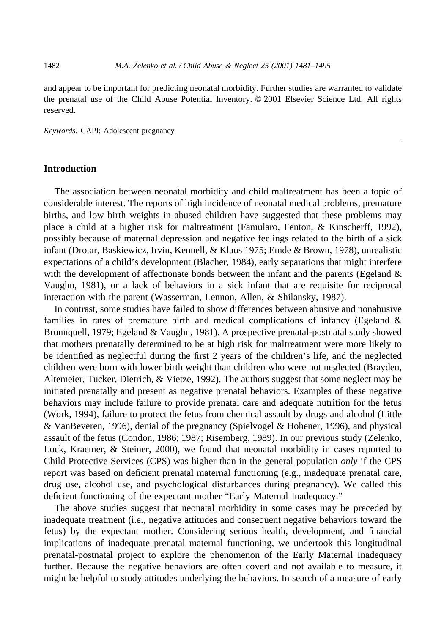and appear to be important for predicting neonatal morbidity. Further studies are warranted to validate the prenatal use of the Child Abuse Potential Inventory. © 2001 Elsevier Science Ltd. All rights reserved.

*Keywords:* CAPI; Adolescent pregnancy

## **Introduction**

The association between neonatal morbidity and child maltreatment has been a topic of considerable interest. The reports of high incidence of neonatal medical problems, premature births, and low birth weights in abused children have suggested that these problems may place a child at a higher risk for maltreatment (Famularo, Fenton, & Kinscherff, 1992), possibly because of maternal depression and negative feelings related to the birth of a sick infant (Drotar, Baskiewicz, Irvin, Kennell, & Klaus 1975; Emde & Brown, 1978), unrealistic expectations of a child's development (Blacher, 1984), early separations that might interfere with the development of affectionate bonds between the infant and the parents (Egeland  $\&$ Vaughn, 1981), or a lack of behaviors in a sick infant that are requisite for reciprocal interaction with the parent (Wasserman, Lennon, Allen, & Shilansky, 1987).

In contrast, some studies have failed to show differences between abusive and nonabusive families in rates of premature birth and medical complications of infancy (Egeland & Brunnquell, 1979; Egeland & Vaughn, 1981). A prospective prenatal-postnatal study showed that mothers prenatally determined to be at high risk for maltreatment were more likely to be identified as neglectful during the first 2 years of the children's life, and the neglected children were born with lower birth weight than children who were not neglected (Brayden, Altemeier, Tucker, Dietrich, & Vietze, 1992). The authors suggest that some neglect may be initiated prenatally and present as negative prenatal behaviors. Examples of these negative behaviors may include failure to provide prenatal care and adequate nutrition for the fetus (Work, 1994), failure to protect the fetus from chemical assault by drugs and alcohol (Little & VanBeveren, 1996), denial of the pregnancy (Spielvogel & Hohener, 1996), and physical assault of the fetus (Condon, 1986; 1987; Risemberg, 1989). In our previous study (Zelenko, Lock, Kraemer, & Steiner, 2000), we found that neonatal morbidity in cases reported to Child Protective Services (CPS) was higher than in the general population *only* if the CPS report was based on deficient prenatal maternal functioning (e.g., inadequate prenatal care, drug use, alcohol use, and psychological disturbances during pregnancy). We called this deficient functioning of the expectant mother "Early Maternal Inadequacy."

The above studies suggest that neonatal morbidity in some cases may be preceded by inadequate treatment (i.e., negative attitudes and consequent negative behaviors toward the fetus) by the expectant mother. Considering serious health, development, and financial implications of inadequate prenatal maternal functioning, we undertook this longitudinal prenatal-postnatal project to explore the phenomenon of the Early Maternal Inadequacy further. Because the negative behaviors are often covert and not available to measure, it might be helpful to study attitudes underlying the behaviors. In search of a measure of early